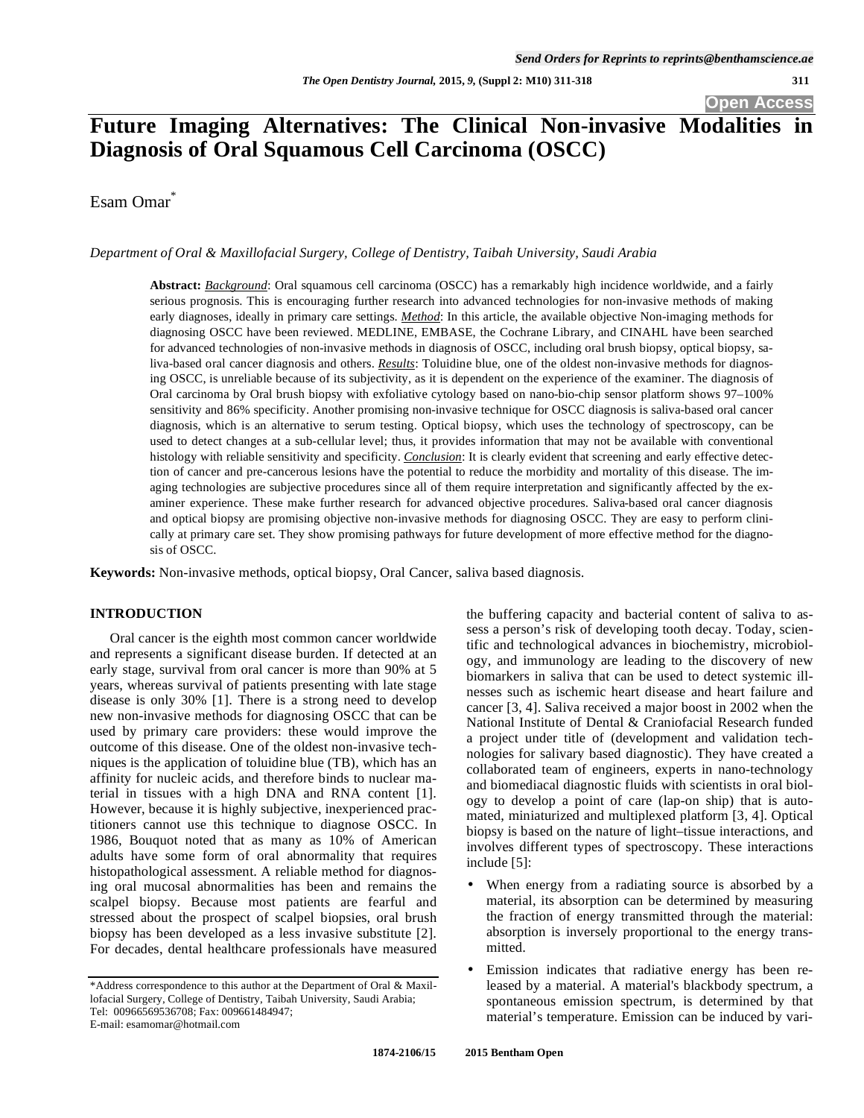**Open Access** 

# **Future Imaging Alternatives: The Clinical Non-invasive Modalities in Diagnosis of Oral Squamous Cell Carcinoma (OSCC)**

Esam Omar<sup>\*</sup>

#### *Department of Oral & Maxillofacial Surgery, College of Dentistry, Taibah University, Saudi Arabia*

**Abstract:** *Background*: Oral squamous cell carcinoma (OSCC) has a remarkably high incidence worldwide, and a fairly serious prognosis. This is encouraging further research into advanced technologies for non-invasive methods of making early diagnoses, ideally in primary care settings. *Method*: In this article, the available objective Non-imaging methods for diagnosing OSCC have been reviewed. MEDLINE, EMBASE, the Cochrane Library, and CINAHL have been searched for advanced technologies of non-invasive methods in diagnosis of OSCC, including oral brush biopsy, optical biopsy, saliva-based oral cancer diagnosis and others. *Results*: Toluidine blue, one of the oldest non-invasive methods for diagnosing OSCC, is unreliable because of its subjectivity, as it is dependent on the experience of the examiner. The diagnosis of Oral carcinoma by Oral brush biopsy with exfoliative cytology based on nano-bio-chip sensor platform shows 97–100% sensitivity and 86% specificity. Another promising non-invasive technique for OSCC diagnosis is saliva-based oral cancer diagnosis, which is an alternative to serum testing. Optical biopsy, which uses the technology of spectroscopy, can be used to detect changes at a sub-cellular level; thus, it provides information that may not be available with conventional histology with reliable sensitivity and specificity. *Conclusion*: It is clearly evident that screening and early effective detection of cancer and pre-cancerous lesions have the potential to reduce the morbidity and mortality of this disease. The imaging technologies are subjective procedures since all of them require interpretation and significantly affected by the examiner experience. These make further research for advanced objective procedures. Saliva-based oral cancer diagnosis and optical biopsy are promising objective non-invasive methods for diagnosing OSCC. They are easy to perform clinically at primary care set. They show promising pathways for future development of more effective method for the diagnosis of OSCC.

**Keywords:** Non-invasive methods, optical biopsy, Oral Cancer, saliva based diagnosis.

# **INTRODUCTION**

Oral cancer is the eighth most common cancer worldwide and represents a significant disease burden. If detected at an early stage, survival from oral cancer is more than 90% at 5 years, whereas survival of patients presenting with late stage disease is only 30% [1]. There is a strong need to develop new non-invasive methods for diagnosing OSCC that can be used by primary care providers: these would improve the outcome of this disease. One of the oldest non-invasive techniques is the application of toluidine blue (TB), which has an affinity for nucleic acids, and therefore binds to nuclear material in tissues with a high DNA and RNA content [1]. However, because it is highly subjective, inexperienced practitioners cannot use this technique to diagnose OSCC. In 1986, Bouquot noted that as many as 10% of American adults have some form of oral abnormality that requires histopathological assessment. A reliable method for diagnosing oral mucosal abnormalities has been and remains the scalpel biopsy. Because most patients are fearful and stressed about the prospect of scalpel biopsies, oral brush biopsy has been developed as a less invasive substitute [2]. For decades, dental healthcare professionals have measured

the buffering capacity and bacterial content of saliva to assess a person's risk of developing tooth decay. Today, scientific and technological advances in biochemistry, microbiology, and immunology are leading to the discovery of new biomarkers in saliva that can be used to detect systemic illnesses such as ischemic heart disease and heart failure and cancer [3, 4]. Saliva received a major boost in 2002 when the National Institute of Dental & Craniofacial Research funded a project under title of (development and validation technologies for salivary based diagnostic). They have created a collaborated team of engineers, experts in nano-technology and biomediacal diagnostic fluids with scientists in oral biology to develop a point of care (lap-on ship) that is automated, miniaturized and multiplexed platform [3, 4]. Optical biopsy is based on the nature of light–tissue interactions, and involves different types of spectroscopy. These interactions include [5]:

- When energy from a radiating source is absorbed by a material, its absorption can be determined by measuring the fraction of energy transmitted through the material: absorption is inversely proportional to the energy transmitted.
- Emission indicates that radiative energy has been released by a material. A material's blackbody spectrum, a spontaneous emission spectrum, is determined by that material's temperature. Emission can be induced by vari-

<sup>\*</sup>Address correspondence to this author at the Department of Oral & Maxillofacial Surgery, College of Dentistry, Taibah University, Saudi Arabia; Tel: 00966569536708; Fax: 009661484947;

E-mail: esamomar@hotmail.com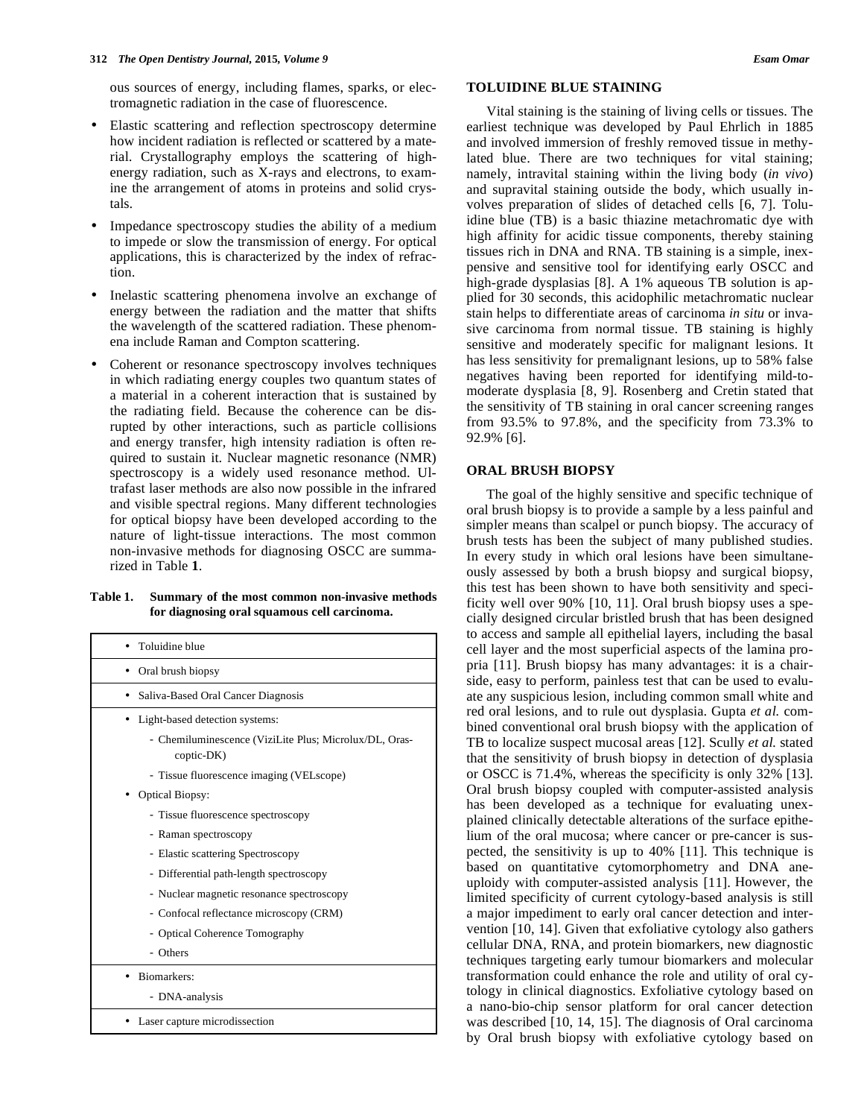ous sources of energy, including flames, sparks, or electromagnetic radiation in the case of fluorescence.

- Elastic scattering and reflection spectroscopy determine how incident radiation is reflected or scattered by a material. Crystallography employs the scattering of highenergy radiation, such as X-rays and electrons, to examine the arrangement of atoms in proteins and solid crystals.
- Impedance spectroscopy studies the ability of a medium to impede or slow the transmission of energy. For optical applications, this is characterized by the index of refraction.
- Inelastic scattering phenomena involve an exchange of energy between the radiation and the matter that shifts the wavelength of the scattered radiation. These phenomena include Raman and Compton scattering.
- Coherent or resonance spectroscopy involves techniques in which radiating energy couples two quantum states of a material in a coherent interaction that is sustained by the radiating field. Because the coherence can be disrupted by other interactions, such as particle collisions and energy transfer, high intensity radiation is often required to sustain it. Nuclear magnetic resonance (NMR) spectroscopy is a widely used resonance method. Ultrafast laser methods are also now possible in the infrared and visible spectral regions. Many different technologies for optical biopsy have been developed according to the nature of light-tissue interactions. The most common non-invasive methods for diagnosing OSCC are summarized in Table **1**.

# **Table 1. Summary of the most common non-invasive methods for diagnosing oral squamous cell carcinoma.**

| Toluidine blue                                                       |
|----------------------------------------------------------------------|
| Oral brush biopsy                                                    |
| Saliva-Based Oral Cancer Diagnosis<br>٠                              |
| Light-based detection systems:                                       |
| - Chemiluminescence (ViziLite Plus; Microlux/DL, Oras-<br>coptic-DK) |
| - Tissue fluorescence imaging (VELscope)                             |
| <b>Optical Biopsy:</b>                                               |
| - Tissue fluorescence spectroscopy                                   |
| - Raman spectroscopy                                                 |
| - Elastic scattering Spectroscopy                                    |
| - Differential path-length spectroscopy                              |
| - Nuclear magnetic resonance spectroscopy                            |
| - Confocal reflectance microscopy (CRM)                              |
| - Optical Coherence Tomography                                       |
| - Others                                                             |
| Biomarkers:                                                          |
| - DNA-analysis                                                       |
| Laser capture microdissection                                        |

# **TOLUIDINE BLUE STAINING**

Vital staining is the staining of living cells or tissues. The earliest technique was developed by Paul Ehrlich in 1885 and involved immersion of freshly removed tissue in methylated blue. There are two techniques for vital staining; namely, intravital staining within the living body (*in vivo*) and supravital staining outside the body, which usually involves preparation of slides of detached cells [6, 7]. Toluidine blue (TB) is a basic thiazine metachromatic dye with high affinity for acidic tissue components, thereby staining tissues rich in DNA and RNA. TB staining is a simple, inexpensive and sensitive tool for identifying early OSCC and high-grade dysplasias [8]. A 1% aqueous TB solution is applied for 30 seconds, this acidophilic metachromatic nuclear stain helps to differentiate areas of carcinoma *in situ* or invasive carcinoma from normal tissue. TB staining is highly sensitive and moderately specific for malignant lesions. It has less sensitivity for premalignant lesions, up to 58% false negatives having been reported for identifying mild-tomoderate dysplasia [8, 9]. Rosenberg and Cretin stated that the sensitivity of TB staining in oral cancer screening ranges from 93.5% to 97.8%, and the specificity from 73.3% to 92.9% [6].

# **ORAL BRUSH BIOPSY**

The goal of the highly sensitive and specific technique of oral brush biopsy is to provide a sample by a less painful and simpler means than scalpel or punch biopsy. The accuracy of brush tests has been the subject of many published studies. In every study in which oral lesions have been simultaneously assessed by both a brush biopsy and surgical biopsy, this test has been shown to have both sensitivity and specificity well over 90% [10, 11]. Oral brush biopsy uses a specially designed circular bristled brush that has been designed to access and sample all epithelial layers, including the basal cell layer and the most superficial aspects of the lamina propria [11]. Brush biopsy has many advantages: it is a chairside, easy to perform, painless test that can be used to evaluate any suspicious lesion, including common small white and red oral lesions, and to rule out dysplasia. Gupta *et al.* combined conventional oral brush biopsy with the application of TB to localize suspect mucosal areas [12]. Scully *et al.* stated that the sensitivity of brush biopsy in detection of dysplasia or OSCC is 71.4%, whereas the specificity is only 32% [13]. Oral brush biopsy coupled with computer-assisted analysis has been developed as a technique for evaluating unexplained clinically detectable alterations of the surface epithelium of the oral mucosa; where cancer or pre-cancer is suspected, the sensitivity is up to 40% [11]. This technique is based on quantitative cytomorphometry and DNA aneuploidy with computer-assisted analysis [11]. However, the limited specificity of current cytology-based analysis is still a major impediment to early oral cancer detection and intervention [10, 14]. Given that exfoliative cytology also gathers cellular DNA, RNA, and protein biomarkers, new diagnostic techniques targeting early tumour biomarkers and molecular transformation could enhance the role and utility of oral cytology in clinical diagnostics. Exfoliative cytology based on a nano-bio-chip sensor platform for oral cancer detection was described [10, 14, 15]. The diagnosis of Oral carcinoma by Oral brush biopsy with exfoliative cytology based on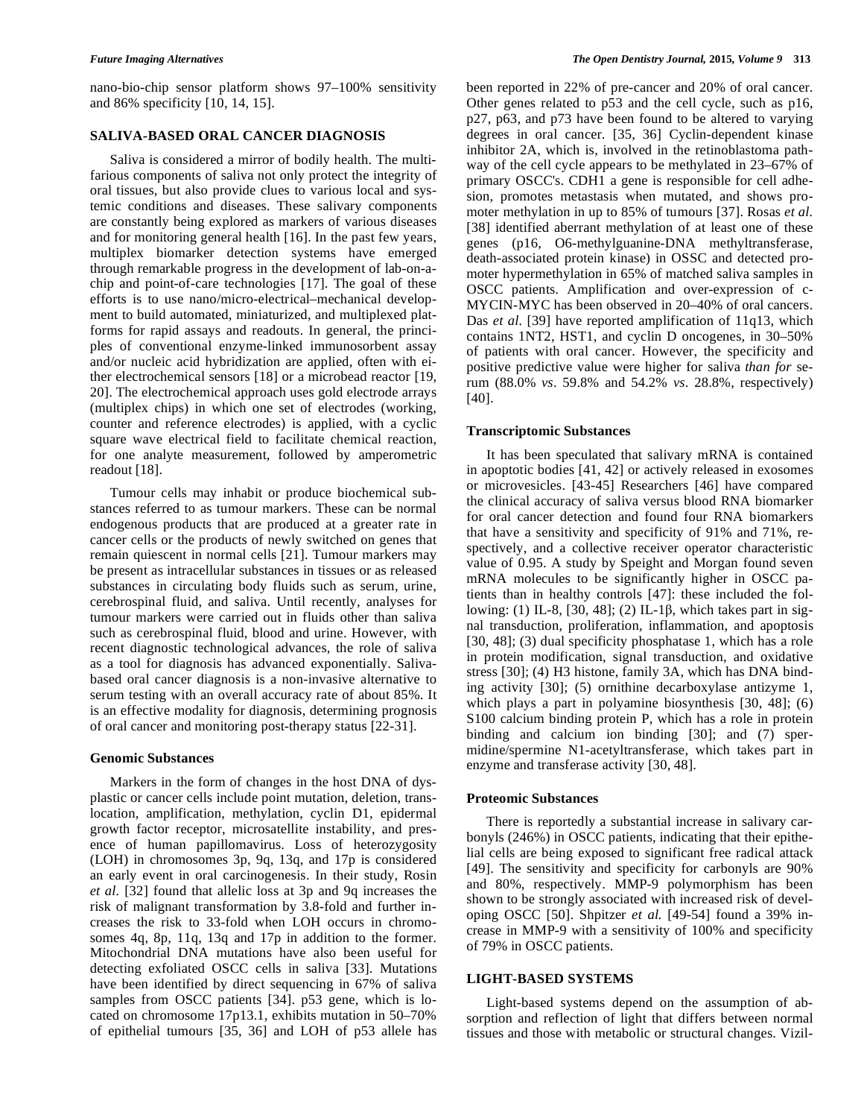nano-bio-chip sensor platform shows 97–100% sensitivity and 86% specificity [10, 14, 15].

# **SALIVA-BASED ORAL CANCER DIAGNOSIS**

Saliva is considered a mirror of bodily health. The multifarious components of saliva not only protect the integrity of oral tissues, but also provide clues to various local and systemic conditions and diseases. These salivary components are constantly being explored as markers of various diseases and for monitoring general health [16]. In the past few years, multiplex biomarker detection systems have emerged through remarkable progress in the development of lab-on-achip and point-of-care technologies [17]. The goal of these efforts is to use nano/micro-electrical–mechanical development to build automated, miniaturized, and multiplexed platforms for rapid assays and readouts. In general, the principles of conventional enzyme-linked immunosorbent assay and/or nucleic acid hybridization are applied, often with either electrochemical sensors [18] or a microbead reactor [19, 20]. The electrochemical approach uses gold electrode arrays (multiplex chips) in which one set of electrodes (working, counter and reference electrodes) is applied, with a cyclic square wave electrical field to facilitate chemical reaction, for one analyte measurement, followed by amperometric readout [18].

Tumour cells may inhabit or produce biochemical substances referred to as tumour markers. These can be normal endogenous products that are produced at a greater rate in cancer cells or the products of newly switched on genes that remain quiescent in normal cells [21]. Tumour markers may be present as intracellular substances in tissues or as released substances in circulating body fluids such as serum, urine, cerebrospinal fluid, and saliva. Until recently, analyses for tumour markers were carried out in fluids other than saliva such as cerebrospinal fluid, blood and urine. However, with recent diagnostic technological advances, the role of saliva as a tool for diagnosis has advanced exponentially. Salivabased oral cancer diagnosis is a non-invasive alternative to serum testing with an overall accuracy rate of about 85%. It is an effective modality for diagnosis, determining prognosis of oral cancer and monitoring post-therapy status [22-31].

# **Genomic Substances**

Markers in the form of changes in the host DNA of dysplastic or cancer cells include point mutation, deletion, translocation, amplification, methylation, cyclin D1, epidermal growth factor receptor, microsatellite instability, and presence of human papillomavirus. Loss of heterozygosity (LOH) in chromosomes 3p, 9q, 13q, and 17p is considered an early event in oral carcinogenesis. In their study, Rosin *et al.* [32] found that allelic loss at 3p and 9q increases the risk of malignant transformation by 3.8-fold and further increases the risk to 33-fold when LOH occurs in chromosomes 4q, 8p, 11q, 13q and 17p in addition to the former. Mitochondrial DNA mutations have also been useful for detecting exfoliated OSCC cells in saliva [33]. Mutations have been identified by direct sequencing in 67% of saliva samples from OSCC patients [34]. p53 gene, which is located on chromosome 17p13.1, exhibits mutation in 50–70% of epithelial tumours [35, 36] and LOH of p53 allele has been reported in 22% of pre-cancer and 20% of oral cancer. Other genes related to p53 and the cell cycle, such as p16, p27, p63, and p73 have been found to be altered to varying degrees in oral cancer. [35, 36] Cyclin-dependent kinase inhibitor 2A, which is, involved in the retinoblastoma pathway of the cell cycle appears to be methylated in 23–67% of primary OSCC's. CDH1 a gene is responsible for cell adhesion, promotes metastasis when mutated, and shows promoter methylation in up to 85% of tumours [37]. Rosas *et al.* [38] identified aberrant methylation of at least one of these genes (p16, O6-methylguanine-DNA methyltransferase, death-associated protein kinase) in OSSC and detected promoter hypermethylation in 65% of matched saliva samples in OSCC patients. Amplification and over-expression of c-MYCIN-MYC has been observed in 20–40% of oral cancers. Das *et al.* [39] have reported amplification of 11q13, which contains 1NT2, HST1, and cyclin D oncogenes, in 30–50% of patients with oral cancer. However, the specificity and positive predictive value were higher for saliva *than for* serum (88.0% *vs*. 59.8% and 54.2% *vs*. 28.8%, respectively) [40].

#### **Transcriptomic Substances**

It has been speculated that salivary mRNA is contained in apoptotic bodies [41, 42] or actively released in exosomes or microvesicles. [43-45] Researchers [46] have compared the clinical accuracy of saliva versus blood RNA biomarker for oral cancer detection and found four RNA biomarkers that have a sensitivity and specificity of 91% and 71%, respectively, and a collective receiver operator characteristic value of 0.95. A study by Speight and Morgan found seven mRNA molecules to be significantly higher in OSCC patients than in healthy controls [47]: these included the following: (1) IL-8, [30, 48]; (2) IL-1 $\beta$ , which takes part in signal transduction, proliferation, inflammation, and apoptosis [30, 48]; (3) dual specificity phosphatase 1, which has a role in protein modification, signal transduction, and oxidative stress [30]; (4) H3 histone, family 3A, which has DNA binding activity [30]; (5) ornithine decarboxylase antizyme 1, which plays a part in polyamine biosynthesis [30, 48]; (6) S100 calcium binding protein P, which has a role in protein binding and calcium ion binding [30]; and (7) spermidine/spermine N1-acetyltransferase, which takes part in enzyme and transferase activity [30, 48].

# **Proteomic Substances**

There is reportedly a substantial increase in salivary carbonyls (246%) in OSCC patients, indicating that their epithelial cells are being exposed to significant free radical attack [49]. The sensitivity and specificity for carbonyls are 90% and 80%, respectively. MMP-9 polymorphism has been shown to be strongly associated with increased risk of developing OSCC [50]. Shpitzer *et al.* [49-54] found a 39% increase in MMP-9 with a sensitivity of 100% and specificity of 79% in OSCC patients.

#### **LIGHT-BASED SYSTEMS**

Light-based systems depend on the assumption of absorption and reflection of light that differs between normal tissues and those with metabolic or structural changes. Vizil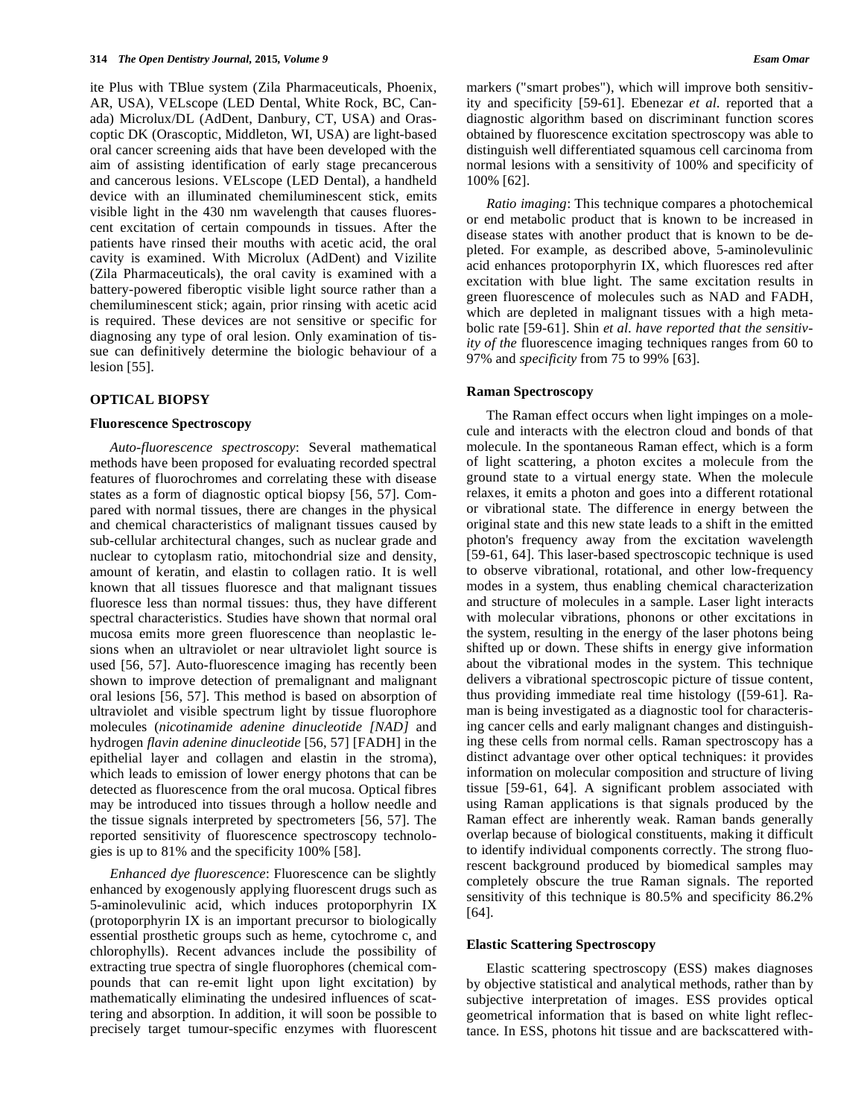ite Plus with TBlue system (Zila Pharmaceuticals, Phoenix, AR, USA), VELscope (LED Dental, White Rock, BC, Canada) Microlux/DL (AdDent, Danbury, CT, USA) and Orascoptic DK (Orascoptic, Middleton, WI, USA) are light-based oral cancer screening aids that have been developed with the aim of assisting identification of early stage precancerous and cancerous lesions. VELscope (LED Dental), a handheld device with an illuminated chemiluminescent stick, emits visible light in the 430 nm wavelength that causes fluorescent excitation of certain compounds in tissues. After the patients have rinsed their mouths with acetic acid, the oral cavity is examined. With Microlux (AdDent) and Vizilite (Zila Pharmaceuticals), the oral cavity is examined with a battery-powered fiberoptic visible light source rather than a chemiluminescent stick; again, prior rinsing with acetic acid is required. These devices are not sensitive or specific for diagnosing any type of oral lesion. Only examination of tissue can definitively determine the biologic behaviour of a lesion [55].

## **OPTICAL BIOPSY**

#### **Fluorescence Spectroscopy**

*Auto-fluorescence spectroscopy*: Several mathematical methods have been proposed for evaluating recorded spectral features of fluorochromes and correlating these with disease states as a form of diagnostic optical biopsy [56, 57]. Compared with normal tissues, there are changes in the physical and chemical characteristics of malignant tissues caused by sub-cellular architectural changes, such as nuclear grade and nuclear to cytoplasm ratio, mitochondrial size and density, amount of keratin, and elastin to collagen ratio. It is well known that all tissues fluoresce and that malignant tissues fluoresce less than normal tissues: thus, they have different spectral characteristics. Studies have shown that normal oral mucosa emits more green fluorescence than neoplastic lesions when an ultraviolet or near ultraviolet light source is used [56, 57]. Auto-fluorescence imaging has recently been shown to improve detection of premalignant and malignant oral lesions [56, 57]. This method is based on absorption of ultraviolet and visible spectrum light by tissue fluorophore molecules (*nicotinamide adenine dinucleotide [NAD]* and hydrogen *flavin adenine dinucleotide* [56, 57] [FADH] in the epithelial layer and collagen and elastin in the stroma), which leads to emission of lower energy photons that can be detected as fluorescence from the oral mucosa. Optical fibres may be introduced into tissues through a hollow needle and the tissue signals interpreted by spectrometers [56, 57]. The reported sensitivity of fluorescence spectroscopy technologies is up to 81% and the specificity 100% [58].

*Enhanced dye fluorescence*: Fluorescence can be slightly enhanced by exogenously applying fluorescent drugs such as 5-aminolevulinic acid, which induces protoporphyrin IX (protoporphyrin IX is an important precursor to biologically essential prosthetic groups such as heme, cytochrome c, and chlorophylls). Recent advances include the possibility of extracting true spectra of single fluorophores (chemical compounds that can re-emit light upon light excitation) by mathematically eliminating the undesired influences of scattering and absorption. In addition, it will soon be possible to precisely target tumour-specific enzymes with fluorescent markers ("smart probes"), which will improve both sensitivity and specificity [59-61]. Ebenezar *et al.* reported that a diagnostic algorithm based on discriminant function scores obtained by fluorescence excitation spectroscopy was able to distinguish well differentiated squamous cell carcinoma from normal lesions with a sensitivity of 100% and specificity of 100% [62].

*Ratio imaging*: This technique compares a photochemical or end metabolic product that is known to be increased in disease states with another product that is known to be depleted. For example, as described above, 5-aminolevulinic acid enhances protoporphyrin IX, which fluoresces red after excitation with blue light. The same excitation results in green fluorescence of molecules such as NAD and FADH, which are depleted in malignant tissues with a high metabolic rate [59-61]. Shin *et al. have reported that the sensitivity of the* fluorescence imaging techniques ranges from 60 to 97% and *specificity* from 75 to 99% [63].

#### **Raman Spectroscopy**

The Raman effect occurs when light impinges on a molecule and interacts with the electron cloud and bonds of that molecule. In the spontaneous Raman effect, which is a form of light scattering, a photon excites a molecule from the ground state to a virtual energy state. When the molecule relaxes, it emits a photon and goes into a different rotational or vibrational state. The difference in energy between the original state and this new state leads to a shift in the emitted photon's frequency away from the excitation wavelength [59-61, 64]. This laser-based spectroscopic technique is used to observe vibrational, rotational, and other low-frequency modes in a system, thus enabling chemical characterization and structure of molecules in a sample. Laser light interacts with molecular vibrations, phonons or other excitations in the system, resulting in the energy of the laser photons being shifted up or down. These shifts in energy give information about the vibrational modes in the system. This technique delivers a vibrational spectroscopic picture of tissue content, thus providing immediate real time histology ([59-61]. Raman is being investigated as a diagnostic tool for characterising cancer cells and early malignant changes and distinguishing these cells from normal cells. Raman spectroscopy has a distinct advantage over other optical techniques: it provides information on molecular composition and structure of living tissue [59-61, 64]. A significant problem associated with using Raman applications is that signals produced by the Raman effect are inherently weak. Raman bands generally overlap because of biological constituents, making it difficult to identify individual components correctly. The strong fluorescent background produced by biomedical samples may completely obscure the true Raman signals. The reported sensitivity of this technique is 80.5% and specificity 86.2% [64].

#### **Elastic Scattering Spectroscopy**

Elastic scattering spectroscopy (ESS) makes diagnoses by objective statistical and analytical methods, rather than by subjective interpretation of images. ESS provides optical geometrical information that is based on white light reflectance. In ESS, photons hit tissue and are backscattered with-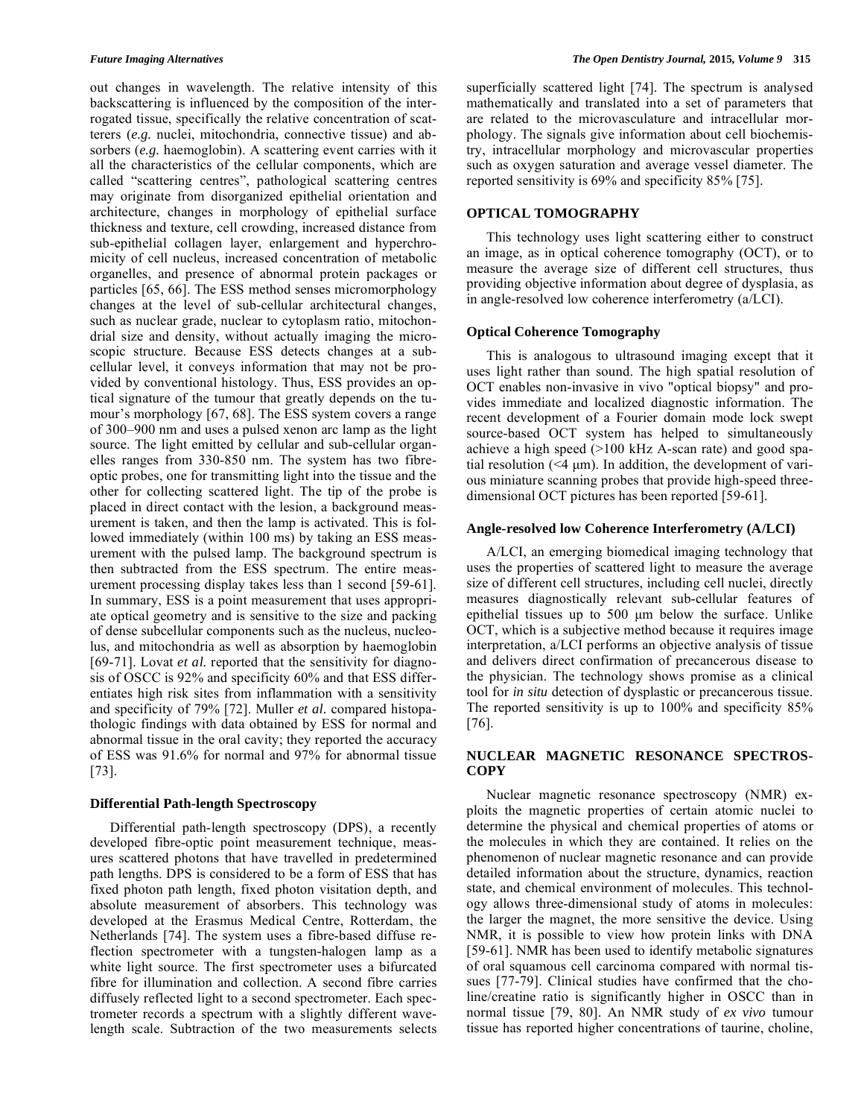out changes in wavelength. The relative intensity of this backscattering is influenced by the composition of the interrogated tissue, specifically the relative concentration of scatterers (*e.g.* nuclei, mitochondria, connective tissue) and absorbers (*e.g.* haemoglobin). A scattering event carries with it all the characteristics of the cellular components, which are called "scattering centres", pathological scattering centres may originate from disorganized epithelial orientation and architecture, changes in morphology of epithelial surface thickness and texture, cell crowding, increased distance from sub-epithelial collagen layer, enlargement and hyperchromicity of cell nucleus, increased concentration of metabolic organelles, and presence of abnormal protein packages or particles [65, 66]. The ESS method senses micromorphology changes at the level of sub-cellular architectural changes, such as nuclear grade, nuclear to cytoplasm ratio, mitochondrial size and density, without actually imaging the microscopic structure. Because ESS detects changes at a subcellular level, it conveys information that may not be provided by conventional histology. Thus, ESS provides an optical signature of the tumour that greatly depends on the tumour's morphology [67, 68]. The ESS system covers a range of 300–900 nm and uses a pulsed xenon arc lamp as the light source. The light emitted by cellular and sub-cellular organelles ranges from 330-850 nm. The system has two fibreoptic probes, one for transmitting light into the tissue and the other for collecting scattered light. The tip of the probe is placed in direct contact with the lesion, a background measurement is taken, and then the lamp is activated. This is followed immediately (within 100 ms) by taking an ESS measurement with the pulsed lamp. The background spectrum is then subtracted from the ESS spectrum. The entire measurement processing display takes less than 1 second [59-61]. In summary, ESS is a point measurement that uses appropriate optical geometry and is sensitive to the size and packing of dense subcellular components such as the nucleus, nucleolus, and mitochondria as well as absorption by haemoglobin [69-71]. Lovat *et al.* reported that the sensitivity for diagnosis of OSCC is 92% and specificity 60% and that ESS differentiates high risk sites from inflammation with a sensitivity and specificity of 79% [72]. Muller *et al.* compared histopathologic findings with data obtained by ESS for normal and abnormal tissue in the oral cavity; they reported the accuracy of ESS was 91.6% for normal and 97% for abnormal tissue [73].

#### **Differential Path-length Spectroscopy**

Differential path-length spectroscopy (DPS), a recently developed fibre-optic point measurement technique, measures scattered photons that have travelled in predetermined path lengths. DPS is considered to be a form of ESS that has fixed photon path length, fixed photon visitation depth, and absolute measurement of absorbers. This technology was developed at the Erasmus Medical Centre, Rotterdam, the Netherlands [74]. The system uses a fibre-based diffuse reflection spectrometer with a tungsten-halogen lamp as a white light source. The first spectrometer uses a bifurcated fibre for illumination and collection. A second fibre carries diffusely reflected light to a second spectrometer. Each spectrometer records a spectrum with a slightly different wavelength scale. Subtraction of the two measurements selects superficially scattered light [74]. The spectrum is analysed mathematically and translated into a set of parameters that are related to the microvasculature and intracellular morphology. The signals give information about cell biochemistry, intracellular morphology and microvascular properties such as oxygen saturation and average vessel diameter. The reported sensitivity is 69% and specificity 85% [75].

# **OPTICAL TOMOGRAPHY**

This technology uses light scattering either to construct an image, as in optical coherence tomography (OCT), or to measure the average size of different cell structures, thus providing objective information about degree of dysplasia, as in angle-resolved low coherence interferometry (a/LCI).

#### **Optical Coherence Tomography**

This is analogous to ultrasound imaging except that it uses light rather than sound. The high spatial resolution of OCT enables non-invasive in vivo "optical biopsy" and provides immediate and localized diagnostic information. The recent development of a Fourier domain mode lock swept source-based OCT system has helped to simultaneously achieve a high speed (>100 kHz A-scan rate) and good spatial resolution  $(\leq 4 \mu m)$ . In addition, the development of various miniature scanning probes that provide high-speed threedimensional OCT pictures has been reported [59-61].

# **Angle-resolved low Coherence Interferometry (A/LCI)**

A/LCI, an emerging biomedical imaging technology that uses the properties of scattered light to measure the average size of different cell structures, including cell nuclei, directly measures diagnostically relevant sub-cellular features of epithelial tissues up to 500 μm below the surface. Unlike OCT, which is a subjective method because it requires image interpretation, a/LCI performs an objective analysis of tissue and delivers direct confirmation of precancerous disease to the physician. The technology shows promise as a clinical tool for *in situ* detection of dysplastic or precancerous tissue. The reported sensitivity is up to 100% and specificity 85% [76].

# **NUCLEAR MAGNETIC RESONANCE SPECTROS-COPY**

Nuclear magnetic resonance spectroscopy (NMR) exploits the magnetic properties of certain atomic nuclei to determine the physical and chemical properties of atoms or the molecules in which they are contained. It relies on the phenomenon of nuclear magnetic resonance and can provide detailed information about the structure, dynamics, reaction state, and chemical environment of molecules. This technology allows three-dimensional study of atoms in molecules: the larger the magnet, the more sensitive the device. Using NMR, it is possible to view how protein links with DNA [59-61]. NMR has been used to identify metabolic signatures of oral squamous cell carcinoma compared with normal tissues [77-79]. Clinical studies have confirmed that the choline/creatine ratio is significantly higher in OSCC than in normal tissue [79, 80]. An NMR study of *ex vivo* tumour tissue has reported higher concentrations of taurine, choline,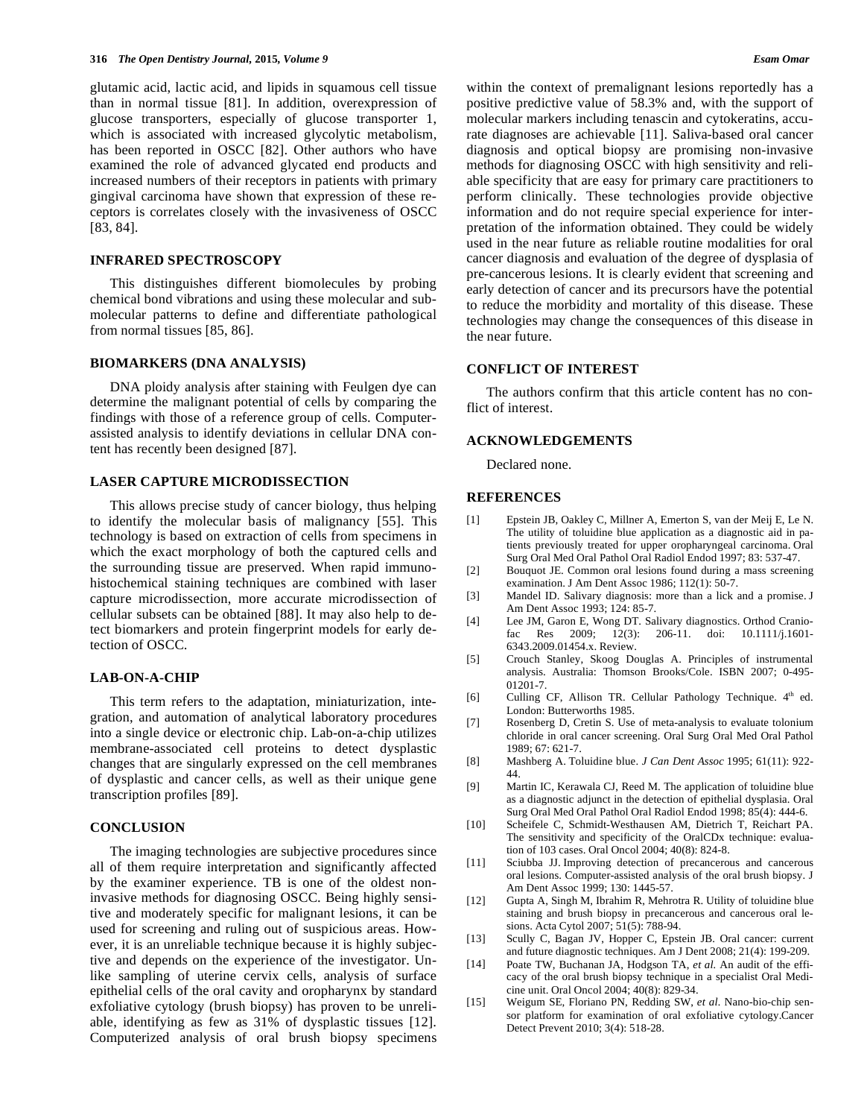glutamic acid, lactic acid, and lipids in squamous cell tissue than in normal tissue [81]. In addition, overexpression of glucose transporters, especially of glucose transporter 1, which is associated with increased glycolytic metabolism, has been reported in OSCC [82]. Other authors who have examined the role of advanced glycated end products and increased numbers of their receptors in patients with primary gingival carcinoma have shown that expression of these receptors is correlates closely with the invasiveness of OSCC [83, 84].

# **INFRARED SPECTROSCOPY**

This distinguishes different biomolecules by probing chemical bond vibrations and using these molecular and submolecular patterns to define and differentiate pathological from normal tissues [85, 86].

# **BIOMARKERS (DNA ANALYSIS)**

DNA ploidy analysis after staining with Feulgen dye can determine the malignant potential of cells by comparing the findings with those of a reference group of cells. Computerassisted analysis to identify deviations in cellular DNA content has recently been designed [87].

# **LASER CAPTURE MICRODISSECTION**

This allows precise study of cancer biology, thus helping to identify the molecular basis of malignancy [55]. This technology is based on extraction of cells from specimens in which the exact morphology of both the captured cells and the surrounding tissue are preserved. When rapid immunohistochemical staining techniques are combined with laser capture microdissection, more accurate microdissection of cellular subsets can be obtained [88]. It may also help to detect biomarkers and protein fingerprint models for early detection of OSCC.

# **LAB-ON-A-CHIP**

This term refers to the adaptation, miniaturization, integration, and automation of analytical laboratory procedures into a single device or electronic chip. Lab-on-a-chip utilizes membrane-associated cell proteins to detect dysplastic changes that are singularly expressed on the cell membranes of dysplastic and cancer cells, as well as their unique gene transcription profiles [89].

### **CONCLUSION**

The imaging technologies are subjective procedures since all of them require interpretation and significantly affected by the examiner experience. TB is one of the oldest noninvasive methods for diagnosing OSCC. Being highly sensitive and moderately specific for malignant lesions, it can be used for screening and ruling out of suspicious areas. However, it is an unreliable technique because it is highly subjective and depends on the experience of the investigator. Unlike sampling of uterine cervix cells, analysis of surface epithelial cells of the oral cavity and oropharynx by standard exfoliative cytology (brush biopsy) has proven to be unreliable, identifying as few as 31% of dysplastic tissues [12]. Computerized analysis of oral brush biopsy specimens within the context of premalignant lesions reportedly has a positive predictive value of 58.3% and, with the support of molecular markers including tenascin and cytokeratins, accurate diagnoses are achievable [11]. Saliva-based oral cancer diagnosis and optical biopsy are promising non-invasive methods for diagnosing OSCC with high sensitivity and reliable specificity that are easy for primary care practitioners to perform clinically. These technologies provide objective information and do not require special experience for interpretation of the information obtained. They could be widely used in the near future as reliable routine modalities for oral cancer diagnosis and evaluation of the degree of dysplasia of pre-cancerous lesions. It is clearly evident that screening and early detection of cancer and its precursors have the potential to reduce the morbidity and mortality of this disease. These technologies may change the consequences of this disease in the near future.

### **CONFLICT OF INTEREST**

The authors confirm that this article content has no conflict of interest.

# **ACKNOWLEDGEMENTS**

Declared none.

# **REFERENCES**

- [1] Epstein JB, Oakley C, Millner A, Emerton S, van der Meij E, Le N. The utility of toluidine blue application as a diagnostic aid in patients previously treated for upper oropharyngeal carcinoma. Oral Surg Oral Med Oral Pathol Oral Radiol Endod 1997; 83: 537-47.
- [2] Bouquot JE. Common oral lesions found during a mass screening examination. J Am Dent Assoc 1986; 112(1): 50-7.
- [3] Mandel ID. Salivary diagnosis: more than a lick and a promise. J Am Dent Assoc 1993; 124: 85-7.
- [4] Lee JM, Garon E, Wong DT. Salivary diagnostics. Orthod Cranio-206-11. doi: 10.1111/j.1601-6343.2009.01454.x. Review.
- [5] Crouch Stanley, Skoog Douglas A. Principles of instrumental analysis. Australia: Thomson Brooks/Cole. ISBN 2007; 0-495- 01201-7.
- [6] Culling CF, Allison TR. Cellular Pathology Technique. 4<sup>th</sup> ed. London: Butterworths 1985.
- [7] Rosenberg D, Cretin S. Use of meta-analysis to evaluate tolonium chloride in oral cancer screening. Oral Surg Oral Med Oral Pathol 1989; 67: 621-7.
- [8] Mashberg A. Toluidine blue. *J Can Dent Assoc* 1995; 61(11): 922- 44.
- [9] Martin IC, Kerawala CJ, Reed M. The application of toluidine blue as a diagnostic adjunct in the detection of epithelial dysplasia. Oral Surg Oral Med Oral Pathol Oral Radiol Endod 1998; 85(4): 444-6.
- [10] Scheifele C, Schmidt-Westhausen AM, Dietrich T, Reichart PA. The sensitivity and specificity of the OralCDx technique: evaluation of 103 cases. Oral Oncol 2004; 40(8): 824-8.
- [11] Sciubba JJ. Improving detection of precancerous and cancerous oral lesions. Computer-assisted analysis of the oral brush biopsy. J Am Dent Assoc 1999; 130: 1445-57.
- [12] Gupta A, Singh M, Ibrahim R, Mehrotra R. Utility of toluidine blue staining and brush biopsy in precancerous and cancerous oral lesions. Acta Cytol 2007; 51(5): 788-94.
- [13] Scully C, Bagan JV, Hopper C, Epstein JB. Oral cancer: current and future diagnostic techniques. Am J Dent 2008; 21(4): 199-209.
- [14] Poate TW, Buchanan JA, Hodgson TA, *et al.* An audit of the efficacy of the oral brush biopsy technique in a specialist Oral Medicine unit. Oral Oncol 2004; 40(8): 829-34.
- [15] Weigum SE, Floriano PN, Redding SW, *et al.* Nano-bio-chip sensor platform for examination of oral exfoliative cytology.Cancer Detect Prevent 2010; 3(4): 518-28.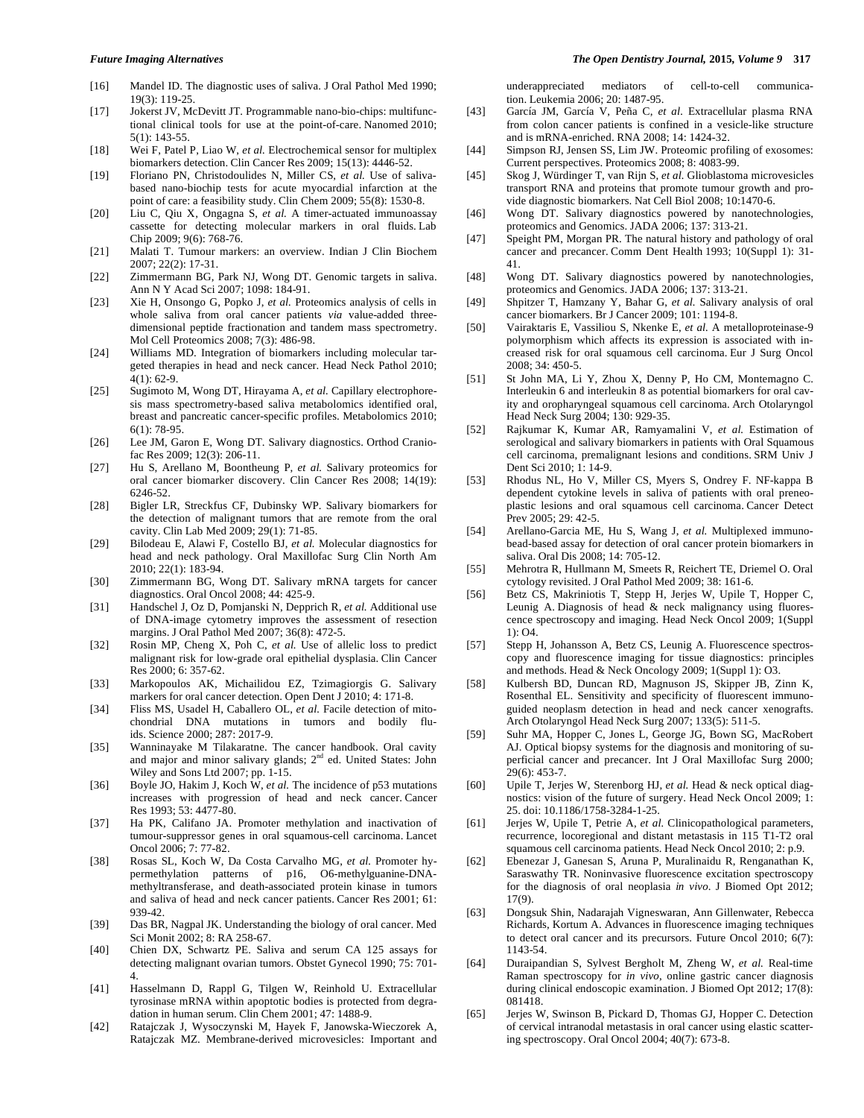- [16] Mandel ID. The diagnostic uses of saliva. J Oral Pathol Med 1990; 19(3): 119-25.
- [17] Jokerst JV, McDevitt JT. Programmable nano-bio-chips: multifunctional clinical tools for use at the point-of-care. Nanomed 2010; 5(1): 143-55.
- [18] Wei F, Patel P, Liao W, *et al.* Electrochemical sensor for multiplex biomarkers detection. Clin Cancer Res 2009; 15(13): 4446-52.
- [19] Floriano PN, Christodoulides N, Miller CS, et al. Use of salivabased nano-biochip tests for acute myocardial infarction at the point of care: a feasibility study. Clin Chem 2009; 55(8): 1530-8.
- [20] Liu C, Qiu X, Ongagna S, *et al.* A timer-actuated immunoassay cassette for detecting molecular markers in oral fluids. Lab Chip 2009; 9(6): 768-76.
- [21] Malati T. Tumour markers: an overview. Indian J Clin Biochem 2007; 22(2): 17-31.
- [22] Zimmermann BG, Park NJ, Wong DT. Genomic targets in saliva. Ann N Y Acad Sci 2007; 1098: 184-91.
- [23] Xie H, Onsongo G, Popko J, *et al.* Proteomics analysis of cells in whole saliva from oral cancer patients *via* value-added threedimensional peptide fractionation and tandem mass spectrometry. Mol Cell Proteomics 2008; 7(3): 486-98.
- [24] Williams MD. Integration of biomarkers including molecular targeted therapies in head and neck cancer. Head Neck Pathol 2010; 4(1): 62-9.
- [25] Sugimoto M, Wong DT, Hirayama A, *et al.* Capillary electrophoresis mass spectrometry-based saliva metabolomics identified oral, breast and pancreatic cancer-specific profiles. Metabolomics 2010; 6(1): 78-95.
- [26] Lee JM, Garon E, Wong DT. Salivary diagnostics. Orthod Craniofac Res 2009; 12(3): 206-11.
- [27] Hu S, Arellano M, Boontheung P, *et al.* Salivary proteomics for oral cancer biomarker discovery. Clin Cancer Res 2008; 14(19): 6246-52.
- [28] Bigler LR, Streckfus CF, Dubinsky WP. Salivary biomarkers for the detection of malignant tumors that are remote from the oral cavity. Clin Lab Med 2009; 29(1): 71-85.
- [29] Bilodeau E, Alawi F, Costello BJ, *et al.* Molecular diagnostics for head and neck pathology. Oral Maxillofac Surg Clin North Am 2010; 22(1): 183-94.
- [30] Zimmermann BG, Wong DT. Salivary mRNA targets for cancer diagnostics. Oral Oncol 2008; 44: 425-9.
- [31] Handschel J, Oz D, Pomjanski N, Depprich R, *et al.* Additional use of DNA-image cytometry improves the assessment of resection margins. J Oral Pathol Med 2007; 36(8): 472-5.
- [32] Rosin MP, Cheng X, Poh C, *et al.* Use of allelic loss to predict malignant risk for low-grade oral epithelial dysplasia. Clin Cancer Res 2000; 6: 357-62.
- [33] Markopoulos AK, Michailidou EZ, Tzimagiorgis G. Salivary markers for oral cancer detection. Open Dent J 2010; 4: 171-8.
- [34] Fliss MS, Usadel H, Caballero OL, et al. Facile detection of mitochondrial DNA mutations in tumors and bodily fluids. Science 2000; 287: 2017-9.
- [35] Wanninayake M Tilakaratne. The cancer handbook. Oral cavity and major and minor salivary glands; 2<sup>nd</sup> ed. United States: John Wiley and Sons Ltd 2007; pp. 1-15.
- [36] Boyle JO, Hakim J, Koch W, *et al.* The incidence of p53 mutations increases with progression of head and neck cancer. Cancer Res 1993; 53: 4477-80.
- [37] Ha PK, Califano JA. Promoter methylation and inactivation of tumour-suppressor genes in oral squamous-cell carcinoma. Lancet Oncol 2006; 7: 77-82.
- [38] Rosas SL, Koch W, Da Costa Carvalho MG, *et al.* Promoter hypermethylation patterns of p16, O6-methylguanine-DNAmethyltransferase, and death-associated protein kinase in tumors and saliva of head and neck cancer patients. Cancer Res 2001; 61: 939-42.
- [39] Das BR, Nagpal JK. Understanding the biology of oral cancer. Med Sci Monit 2002; 8: RA 258-67.
- [40] Chien DX, Schwartz PE. Saliva and serum CA 125 assays for detecting malignant ovarian tumors. Obstet Gynecol 1990; 75: 701- 4.
- [41] Hasselmann D, Rappl G, Tilgen W, Reinhold U. Extracellular tyrosinase mRNA within apoptotic bodies is protected from degradation in human serum. Clin Chem 2001; 47: 1488-9.
- [42] Ratajczak J, Wysoczynski M, Hayek F, Janowska-Wieczorek A, Ratajczak MZ. Membrane-derived microvesicles: Important and

underappreciated mediators of cell-to-cell communication. Leukemia 2006; 20: 1487-95.

- [43] García JM, García V, Peña C, *et al.* Extracellular plasma RNA from colon cancer patients is confined in a vesicle-like structure and is mRNA-enriched. RNA 2008; 14: 1424-32.
- [44] Simpson RJ, Jensen SS, Lim JW. Proteomic profiling of exosomes: Current perspectives. Proteomics 2008; 8: 4083-99.
- [45] Skog J, Würdinger T, van Rijn S, *et al.* Glioblastoma microvesicles transport RNA and proteins that promote tumour growth and provide diagnostic biomarkers. Nat Cell Biol 2008; 10:1470-6.
- [46] Wong DT. Salivary diagnostics powered by nanotechnologies, proteomics and Genomics. JADA 2006; 137: 313-21.
- [47] Speight PM, Morgan PR. The natural history and pathology of oral cancer and precancer. Comm Dent Health 1993; 10(Suppl 1): 31- 41.
- [48] Wong DT. Salivary diagnostics powered by nanotechnologies, proteomics and Genomics. JADA 2006; 137: 313-21.
- [49] Shpitzer T, Hamzany Y, Bahar G, *et al.* Salivary analysis of oral cancer biomarkers. Br J Cancer 2009; 101: 1194-8.
- [50] Vairaktaris E, Vassiliou S, Nkenke E, *et al.* A metalloproteinase-9 polymorphism which affects its expression is associated with increased risk for oral squamous cell carcinoma. Eur J Surg Oncol 2008; 34: 450-5.
- [51] St John MA, Li Y, Zhou X, Denny P, Ho CM, Montemagno C. Interleukin 6 and interleukin 8 as potential biomarkers for oral cavity and oropharyngeal squamous cell carcinoma. Arch Otolaryngol Head Neck Surg 2004; 130: 929-35.
- [52] Rajkumar K, Kumar AR, Ramyamalini V, *et al.* Estimation of serological and salivary biomarkers in patients with Oral Squamous cell carcinoma, premalignant lesions and conditions. SRM Univ J Dent Sci 2010; 1: 14-9.
- [53] Rhodus NL, Ho V, Miller CS, Myers S, Ondrey F. NF-kappa B dependent cytokine levels in saliva of patients with oral preneoplastic lesions and oral squamous cell carcinoma. Cancer Detect Prev 2005; 29: 42-5.
- [54] Arellano-Garcia ME, Hu S, Wang J, *et al.* Multiplexed immunobead-based assay for detection of oral cancer protein biomarkers in saliva. Oral Dis 2008; 14: 705-12.
- [55] Mehrotra R, Hullmann M, Smeets R, Reichert TE, Driemel O. Oral cytology revisited. J Oral Pathol Med 2009; 38: 161-6.
- [56] Betz CS, Makriniotis T, Stepp H, Jerjes W, Upile T, Hopper C, Leunig A. Diagnosis of head & neck malignancy using fluorescence spectroscopy and imaging. Head Neck Oncol 2009; 1(Suppl 1): O4.
- [57] Stepp H, Johansson A, Betz CS, Leunig A. Fluorescence spectroscopy and fluorescence imaging for tissue diagnostics: principles and methods. Head & Neck Oncology 2009; 1(Suppl 1): O3.
- [58] Kulbersh BD, Duncan RD, Magnuson JS, Skipper JB, Zinn K, Rosenthal EL. Sensitivity and specificity of fluorescent immunoguided neoplasm detection in head and neck cancer xenografts. Arch Otolaryngol Head Neck Surg 2007; 133(5): 511-5.
- [59] Suhr MA, Hopper C, Jones L, George JG, Bown SG, MacRobert AJ. Optical biopsy systems for the diagnosis and monitoring of superficial cancer and precancer. Int J Oral Maxillofac Surg 2000; 29(6): 453-7.
- [60] Upile T, Jerjes W, Sterenborg HJ, et al. Head & neck optical diagnostics: vision of the future of surgery. Head Neck Oncol 2009; 1: 25. doi: 10.1186/1758-3284-1-25.
- [61] Jerjes W, Upile T, Petrie A, *et al.* Clinicopathological parameters, recurrence, locoregional and distant metastasis in 115 T1-T2 oral squamous cell carcinoma patients. Head Neck Oncol 2010; 2: p.9.
- [62] Ebenezar J, Ganesan S, Aruna P, Muralinaidu R, Renganathan K, Saraswathy TR. Noninvasive fluorescence excitation spectroscopy for the diagnosis of oral neoplasia *in vivo*. J Biomed Opt 2012; 17(9).
- [63] Dongsuk Shin, Nadarajah Vigneswaran, Ann Gillenwater, Rebecca Richards, Kortum A. Advances in fluorescence imaging techniques to detect oral cancer and its precursors. Future Oncol 2010; 6(7): 1143-54.
- [64] Duraipandian S, Sylvest Bergholt M, Zheng W, *et al.* Real-time Raman spectroscopy for *in vivo*, online gastric cancer diagnosis during clinical endoscopic examination. J Biomed Opt 2012; 17(8): 081418.
- [65] Jerjes W, Swinson B, Pickard D, Thomas GJ, Hopper C. Detection of cervical intranodal metastasis in oral cancer using elastic scattering spectroscopy. Oral Oncol 2004; 40(7): 673-8.